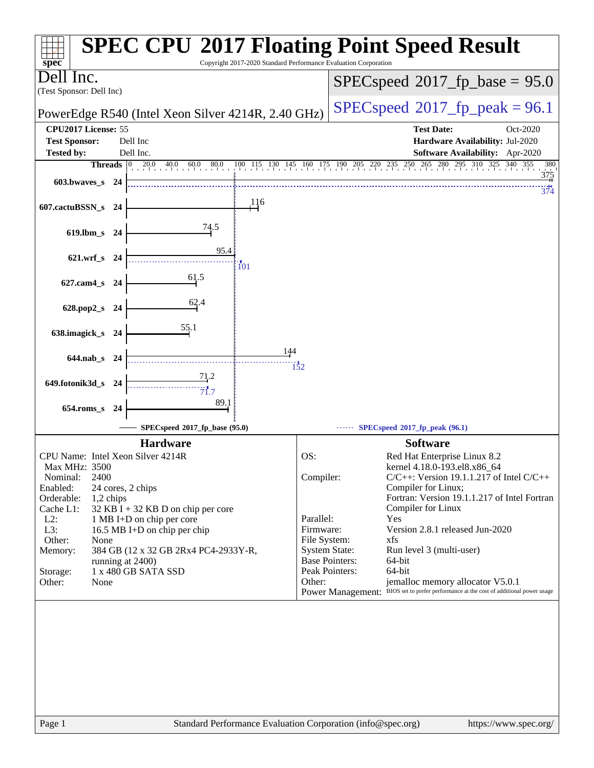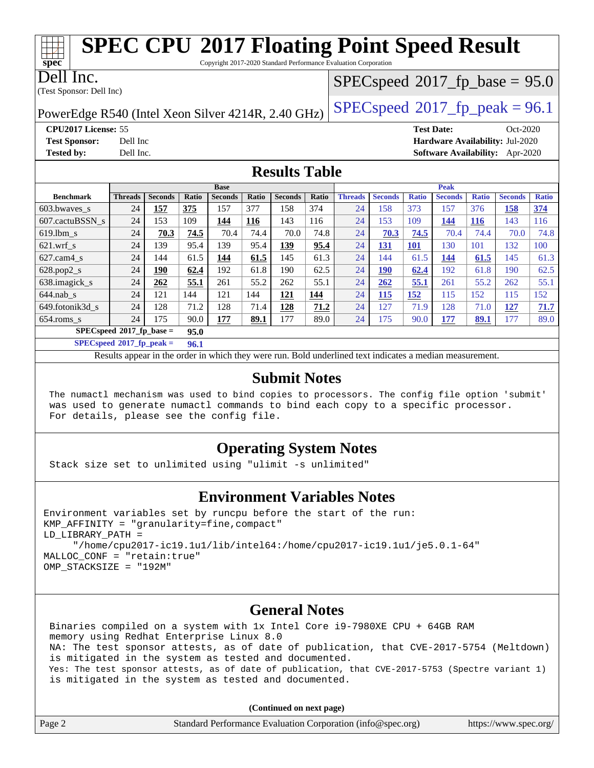| SPEC CPU®2017 Floating Point Speed Result                       |
|-----------------------------------------------------------------|
| Copyright 2017-2020 Standard Performance Evaluation Corporation |

Dell Inc.

**[spec](http://www.spec.org/)**

(Test Sponsor: Dell Inc)

 $SPECspeed*2017_fp\_base = 95.0$  $SPECspeed*2017_fp\_base = 95.0$ 

PowerEdge R540 (Intel Xeon Silver 4214R, 2.40 GHz)  $\left|$  [SPECspeed](http://www.spec.org/auto/cpu2017/Docs/result-fields.html#SPECspeed2017fppeak)<sup>®</sup>[2017\\_fp\\_peak = 9](http://www.spec.org/auto/cpu2017/Docs/result-fields.html#SPECspeed2017fppeak)6.1

**[Tested by:](http://www.spec.org/auto/cpu2017/Docs/result-fields.html#Testedby)** Dell Inc. **[Software Availability:](http://www.spec.org/auto/cpu2017/Docs/result-fields.html#SoftwareAvailability)** Apr-2020

**[CPU2017 License:](http://www.spec.org/auto/cpu2017/Docs/result-fields.html#CPU2017License)** 55 **[Test Date:](http://www.spec.org/auto/cpu2017/Docs/result-fields.html#TestDate)** Oct-2020 **[Test Sponsor:](http://www.spec.org/auto/cpu2017/Docs/result-fields.html#TestSponsor)** Dell Inc **[Hardware Availability:](http://www.spec.org/auto/cpu2017/Docs/result-fields.html#HardwareAvailability)** Jul-2020

**[Results Table](http://www.spec.org/auto/cpu2017/Docs/result-fields.html#ResultsTable)**

|                                    | <b>Base</b>    |                |       |                |              |                | <b>Peak</b> |                |                |              |                |              |                |              |
|------------------------------------|----------------|----------------|-------|----------------|--------------|----------------|-------------|----------------|----------------|--------------|----------------|--------------|----------------|--------------|
| <b>Benchmark</b>                   | <b>Threads</b> | <b>Seconds</b> | Ratio | <b>Seconds</b> | <b>Ratio</b> | <b>Seconds</b> | Ratio       | <b>Threads</b> | <b>Seconds</b> | <b>Ratio</b> | <b>Seconds</b> | <b>Ratio</b> | <b>Seconds</b> | <b>Ratio</b> |
| $603.bwaves$ s                     | 24             | 157            | 375   | 157            | 377          | 158            | 374         | 24             | 158            | 373          | 157            | 376          | <u>158</u>     | 374          |
| 607.cactuBSSN s                    | 24             | 153            | 109   | 144            | <b>116</b>   | 143            | 116         | 24             | 153            | 109          | 144            | <b>116</b>   | 143            | 116          |
| $619.1$ bm s                       | 24             | 70.3           | 74.5  | 70.4           | 74.4         | 70.0           | 74.8        | 24             | 70.3           | 74.5         | 70.4           | 74.4         | 70.0           | 74.8         |
| $621$ .wrf s                       | 24             | 139            | 95.4  | 139            | 95.4         | 139            | 95.4        | 24             | <u>131</u>     | 101          | 130            | 101          | 132            | 100          |
| $627.cam4_s$                       | 24             | 144            | 61.5  | 144            | 61.5         | 145            | 61.3        | 24             | 144            | 61.5         | 144            | 61.5         | 145            | 61.3         |
| $628.pop2_s$                       | 24             | 190            | 62.4  | 192            | 61.8         | 190            | 62.5        | 24             | 190            | 62.4         | 192            | 61.8         | 190            | 62.5         |
| 638.imagick_s                      | 24             | 262            | 55.1  | 261            | 55.2         | 262            | 55.1        | 24             | 262            | 55.1         | 261            | 55.2         | 262            | 55.1         |
| $644$ .nab s                       | 24             | 121            | 144   | 121            | 144          | 121            | 144         | 24             | 115            | 152          | 115            | 152          | 115            | 152          |
| 649.fotonik3d s                    | 24             | 128            | 71.2  | 128            | 71.4         | 128            | 71.2        | 24             | 127            | 71.9         | 128            | 71.0         | <u>127</u>     | 71.7         |
| $654$ .roms s                      | 24             | 175            | 90.0  | 177            | 89.1         | 177            | 89.0        | 24             | 175            | 90.0         | 177            | 89.1         | 177            | 89.0         |
| $SPECspeed*2017$ fp base =<br>95.0 |                |                |       |                |              |                |             |                |                |              |                |              |                |              |

 $SPECspeed^*2017$  $SPECspeed^*2017$  fp\_peak =  $96.1$ 

Results appear in the [order in which they were run.](http://www.spec.org/auto/cpu2017/Docs/result-fields.html#RunOrder) Bold underlined text [indicates a median measurement](http://www.spec.org/auto/cpu2017/Docs/result-fields.html#Median).

#### **[Submit Notes](http://www.spec.org/auto/cpu2017/Docs/result-fields.html#SubmitNotes)**

 The numactl mechanism was used to bind copies to processors. The config file option 'submit' was used to generate numactl commands to bind each copy to a specific processor. For details, please see the config file.

### **[Operating System Notes](http://www.spec.org/auto/cpu2017/Docs/result-fields.html#OperatingSystemNotes)**

Stack size set to unlimited using "ulimit -s unlimited"

### **[Environment Variables Notes](http://www.spec.org/auto/cpu2017/Docs/result-fields.html#EnvironmentVariablesNotes)**

```
Environment variables set by runcpu before the start of the run:
KMP_AFFINITY = "granularity=fine,compact"
LD_LIBRARY_PATH =
      "/home/cpu2017-ic19.1u1/lib/intel64:/home/cpu2017-ic19.1u1/je5.0.1-64"
MALLOC_CONF = "retain:true"
OMP_STACKSIZE = "192M"
```
#### **[General Notes](http://www.spec.org/auto/cpu2017/Docs/result-fields.html#GeneralNotes)**

 Binaries compiled on a system with 1x Intel Core i9-7980XE CPU + 64GB RAM memory using Redhat Enterprise Linux 8.0 NA: The test sponsor attests, as of date of publication, that CVE-2017-5754 (Meltdown) is mitigated in the system as tested and documented. Yes: The test sponsor attests, as of date of publication, that CVE-2017-5753 (Spectre variant 1) is mitigated in the system as tested and documented.

**(Continued on next page)**

| Page 2 | Standard Performance Evaluation Corporation (info@spec.org) | https://www.spec.org/ |
|--------|-------------------------------------------------------------|-----------------------|
|--------|-------------------------------------------------------------|-----------------------|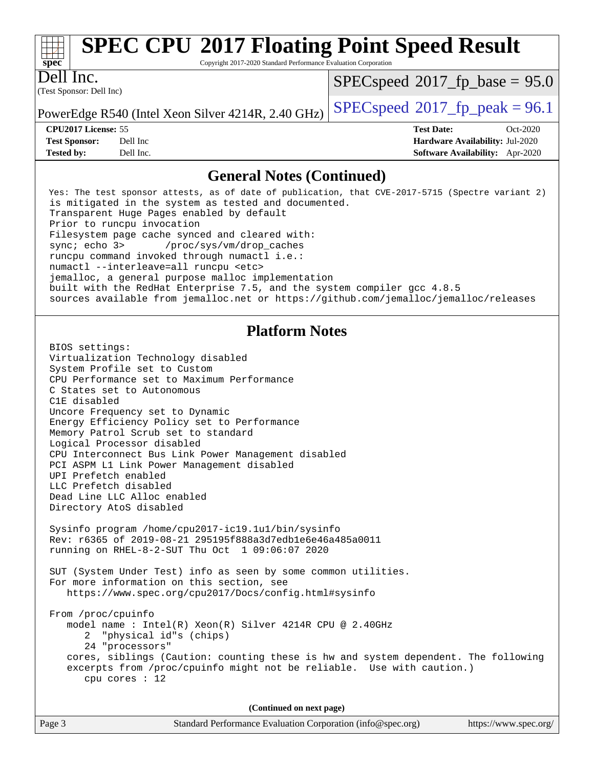| ч<br>c<br>U<br>Ľ |  |  |  |  |  |  |
|------------------|--|--|--|--|--|--|

# **[SPEC CPU](http://www.spec.org/auto/cpu2017/Docs/result-fields.html#SPECCPU2017FloatingPointSpeedResult)[2017 Floating Point Speed Result](http://www.spec.org/auto/cpu2017/Docs/result-fields.html#SPECCPU2017FloatingPointSpeedResult)**

Copyright 2017-2020 Standard Performance Evaluation Corporation

(Test Sponsor: Dell Inc) Dell Inc.

 $SPECspeed*2017_fp\_base = 95.0$  $SPECspeed*2017_fp\_base = 95.0$ 

PowerEdge R540 (Intel Xeon Silver 4214R, 2.40 GHz)  $\left|$  [SPECspeed](http://www.spec.org/auto/cpu2017/Docs/result-fields.html#SPECspeed2017fppeak)<sup>®</sup>[2017\\_fp\\_peak = 9](http://www.spec.org/auto/cpu2017/Docs/result-fields.html#SPECspeed2017fppeak)6.1

**[CPU2017 License:](http://www.spec.org/auto/cpu2017/Docs/result-fields.html#CPU2017License)** 55 **[Test Date:](http://www.spec.org/auto/cpu2017/Docs/result-fields.html#TestDate)** Oct-2020 **[Test Sponsor:](http://www.spec.org/auto/cpu2017/Docs/result-fields.html#TestSponsor)** Dell Inc **[Hardware Availability:](http://www.spec.org/auto/cpu2017/Docs/result-fields.html#HardwareAvailability)** Jul-2020 **[Tested by:](http://www.spec.org/auto/cpu2017/Docs/result-fields.html#Testedby)** Dell Inc. **[Software Availability:](http://www.spec.org/auto/cpu2017/Docs/result-fields.html#SoftwareAvailability)** Apr-2020

#### **[General Notes \(Continued\)](http://www.spec.org/auto/cpu2017/Docs/result-fields.html#GeneralNotes)**

 Yes: The test sponsor attests, as of date of publication, that CVE-2017-5715 (Spectre variant 2) is mitigated in the system as tested and documented. Transparent Huge Pages enabled by default Prior to runcpu invocation Filesystem page cache synced and cleared with: sync; echo 3> /proc/sys/vm/drop\_caches runcpu command invoked through numactl i.e.: numactl --interleave=all runcpu <etc> jemalloc, a general purpose malloc implementation built with the RedHat Enterprise 7.5, and the system compiler gcc 4.8.5 sources available from jemalloc.net or <https://github.com/jemalloc/jemalloc/releases>

### **[Platform Notes](http://www.spec.org/auto/cpu2017/Docs/result-fields.html#PlatformNotes)**

 BIOS settings: Virtualization Technology disabled System Profile set to Custom CPU Performance set to Maximum Performance C States set to Autonomous C1E disabled Uncore Frequency set to Dynamic Energy Efficiency Policy set to Performance Memory Patrol Scrub set to standard Logical Processor disabled CPU Interconnect Bus Link Power Management disabled PCI ASPM L1 Link Power Management disabled UPI Prefetch enabled LLC Prefetch disabled Dead Line LLC Alloc enabled Directory AtoS disabled

 Sysinfo program /home/cpu2017-ic19.1u1/bin/sysinfo Rev: r6365 of 2019-08-21 295195f888a3d7edb1e6e46a485a0011 running on RHEL-8-2-SUT Thu Oct 1 09:06:07 2020

 SUT (System Under Test) info as seen by some common utilities. For more information on this section, see <https://www.spec.org/cpu2017/Docs/config.html#sysinfo>

 From /proc/cpuinfo model name : Intel(R) Xeon(R) Silver 4214R CPU @ 2.40GHz 2 "physical id"s (chips) 24 "processors" cores, siblings (Caution: counting these is hw and system dependent. The following excerpts from /proc/cpuinfo might not be reliable. Use with caution.) cpu cores : 12

**(Continued on next page)**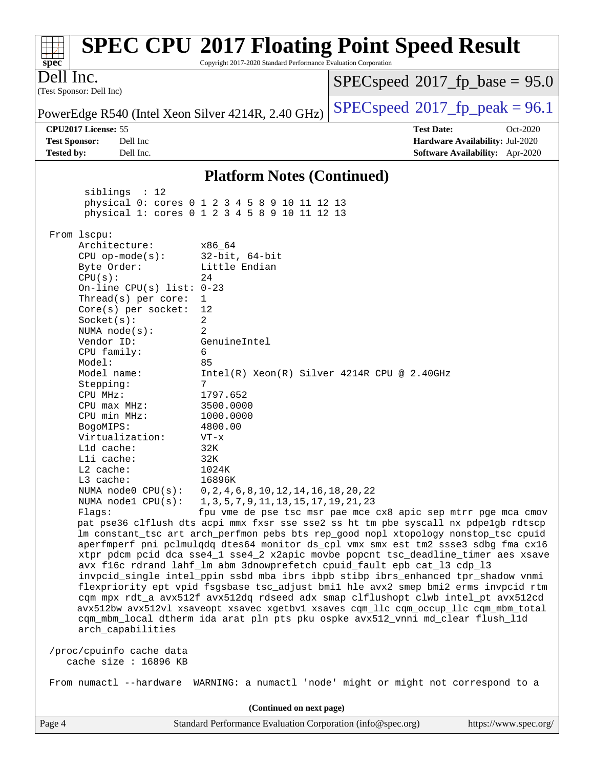#### **[SPEC CPU](http://www.spec.org/auto/cpu2017/Docs/result-fields.html#SPECCPU2017FloatingPointSpeedResult)[2017 Floating Point Speed Result](http://www.spec.org/auto/cpu2017/Docs/result-fields.html#SPECCPU2017FloatingPointSpeedResult)** ti h **[spec](http://www.spec.org/)** Copyright 2017-2020 Standard Performance Evaluation Corporation Dell Inc.  $SPECspeed*2017_fp\_base = 95.0$  $SPECspeed*2017_fp\_base = 95.0$ (Test Sponsor: Dell Inc) PowerEdge R540 (Intel Xeon Silver 4214R, 2.40 GHz)  $\left|$  [SPECspeed](http://www.spec.org/auto/cpu2017/Docs/result-fields.html#SPECspeed2017fppeak)<sup>®</sup>[2017\\_fp\\_peak = 9](http://www.spec.org/auto/cpu2017/Docs/result-fields.html#SPECspeed2017fppeak)6.1 **[CPU2017 License:](http://www.spec.org/auto/cpu2017/Docs/result-fields.html#CPU2017License)** 55 **[Test Date:](http://www.spec.org/auto/cpu2017/Docs/result-fields.html#TestDate)** Oct-2020 **[Test Sponsor:](http://www.spec.org/auto/cpu2017/Docs/result-fields.html#TestSponsor)** Dell Inc **[Hardware Availability:](http://www.spec.org/auto/cpu2017/Docs/result-fields.html#HardwareAvailability)** Jul-2020 **[Tested by:](http://www.spec.org/auto/cpu2017/Docs/result-fields.html#Testedby)** Dell Inc. **[Software Availability:](http://www.spec.org/auto/cpu2017/Docs/result-fields.html#SoftwareAvailability)** Apr-2020 **[Platform Notes \(Continued\)](http://www.spec.org/auto/cpu2017/Docs/result-fields.html#PlatformNotes)** siblings : 12 physical 0: cores 0 1 2 3 4 5 8 9 10 11 12 13 physical 1: cores 0 1 2 3 4 5 8 9 10 11 12 13 From lscpu: Architecture: x86\_64 CPU op-mode(s): 32-bit, 64-bit Byte Order: Little Endian  $CPU(s):$  24 On-line CPU(s) list: 0-23 Thread(s) per core: 1 Core(s) per socket: 12 Socket(s): 2 NUMA node(s): 2 Vendor ID: GenuineIntel CPU family: 6 Model: 85 Model name: Intel(R) Xeon(R) Silver 4214R CPU @ 2.40GHz Stepping: 7 CPU MHz: 1797.652 CPU max MHz: 3500.0000 CPU min MHz: 1000.0000 BogoMIPS: 4800.00 Virtualization: VT-x L1d cache: 32K L1i cache: 32K L2 cache: 1024K L3 cache: 16896K NUMA node0 CPU(s): 0,2,4,6,8,10,12,14,16,18,20,22 NUMA node1 CPU(s): 1,3,5,7,9,11,13,15,17,19,21,23 Flags: fpu vme de pse tsc msr pae mce cx8 apic sep mtrr pge mca cmov pat pse36 clflush dts acpi mmx fxsr sse sse2 ss ht tm pbe syscall nx pdpe1gb rdtscp lm constant\_tsc art arch\_perfmon pebs bts rep\_good nopl xtopology nonstop\_tsc cpuid aperfmperf pni pclmulqdq dtes64 monitor ds\_cpl vmx smx est tm2 ssse3 sdbg fma cx16 xtpr pdcm pcid dca sse4\_1 sse4\_2 x2apic movbe popcnt tsc\_deadline\_timer aes xsave avx f16c rdrand lahf\_lm abm 3dnowprefetch cpuid\_fault epb cat\_l3 cdp\_l3 invpcid\_single intel\_ppin ssbd mba ibrs ibpb stibp ibrs\_enhanced tpr\_shadow vnmi flexpriority ept vpid fsgsbase tsc\_adjust bmi1 hle avx2 smep bmi2 erms invpcid rtm cqm mpx rdt\_a avx512f avx512dq rdseed adx smap clflushopt clwb intel\_pt avx512cd avx512bw avx512vl xsaveopt xsavec xgetbv1 xsaves cqm\_llc cqm\_occup\_llc cqm\_mbm\_total cqm\_mbm\_local dtherm ida arat pln pts pku ospke avx512\_vnni md\_clear flush\_l1d arch\_capabilities /proc/cpuinfo cache data cache size : 16896 KB From numactl --hardware WARNING: a numactl 'node' might or might not correspond to a **(Continued on next page)**

Page 4 Standard Performance Evaluation Corporation [\(info@spec.org\)](mailto:info@spec.org) <https://www.spec.org/>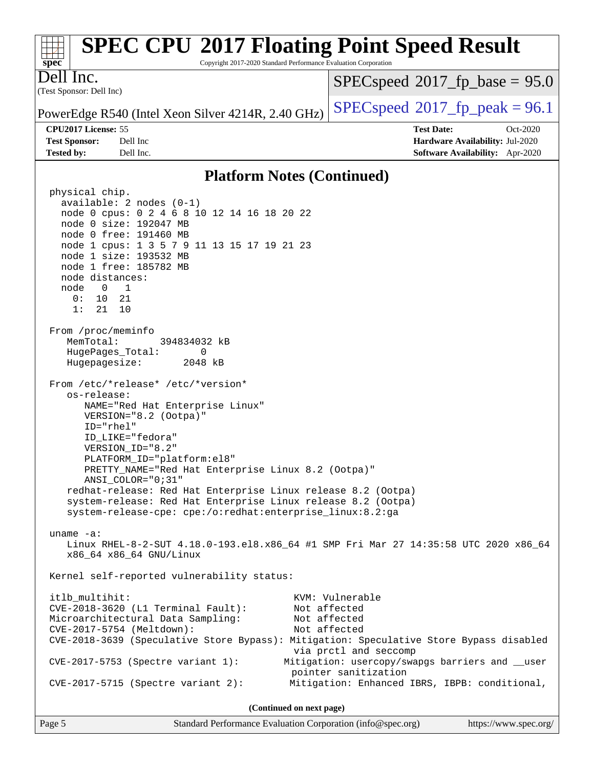#### **[spec](http://www.spec.org/) [SPEC CPU](http://www.spec.org/auto/cpu2017/Docs/result-fields.html#SPECCPU2017FloatingPointSpeedResult)[2017 Floating Point Speed Result](http://www.spec.org/auto/cpu2017/Docs/result-fields.html#SPECCPU2017FloatingPointSpeedResult)** Copyright 2017-2020 Standard Performance Evaluation Corporation (Test Sponsor: Dell Inc) Dell Inc. PowerEdge R540 (Intel Xeon Silver 4214R, 2.40 GHz)  $\left|$  [SPECspeed](http://www.spec.org/auto/cpu2017/Docs/result-fields.html#SPECspeed2017fppeak)<sup>®</sup>[2017\\_fp\\_peak = 9](http://www.spec.org/auto/cpu2017/Docs/result-fields.html#SPECspeed2017fppeak)6.1  $SPECspeed*2017_fp\_base = 95.0$  $SPECspeed*2017_fp\_base = 95.0$ **[CPU2017 License:](http://www.spec.org/auto/cpu2017/Docs/result-fields.html#CPU2017License)** 55 **[Test Date:](http://www.spec.org/auto/cpu2017/Docs/result-fields.html#TestDate)** Oct-2020 **[Test Sponsor:](http://www.spec.org/auto/cpu2017/Docs/result-fields.html#TestSponsor)** Dell Inc **[Hardware Availability:](http://www.spec.org/auto/cpu2017/Docs/result-fields.html#HardwareAvailability)** Jul-2020 **[Tested by:](http://www.spec.org/auto/cpu2017/Docs/result-fields.html#Testedby)** Dell Inc. **[Software Availability:](http://www.spec.org/auto/cpu2017/Docs/result-fields.html#SoftwareAvailability)** Apr-2020 **[Platform Notes \(Continued\)](http://www.spec.org/auto/cpu2017/Docs/result-fields.html#PlatformNotes)** physical chip. available: 2 nodes (0-1) node 0 cpus: 0 2 4 6 8 10 12 14 16 18 20 22 node 0 size: 192047 MB node 0 free: 191460 MB node 1 cpus: 1 3 5 7 9 11 13 15 17 19 21 23 node 1 size: 193532 MB node 1 free: 185782 MB node distances: node 0 1 0: 10 21 1: 21 10 From /proc/meminfo MemTotal: 394834032 kB HugePages\_Total: 0 Hugepagesize: 2048 kB From /etc/\*release\* /etc/\*version\* os-release: NAME="Red Hat Enterprise Linux" VERSION="8.2 (Ootpa)" ID="rhel" ID\_LIKE="fedora" VERSION\_ID="8.2" PLATFORM\_ID="platform:el8" PRETTY\_NAME="Red Hat Enterprise Linux 8.2 (Ootpa)" ANSI\_COLOR="0;31" redhat-release: Red Hat Enterprise Linux release 8.2 (Ootpa) system-release: Red Hat Enterprise Linux release 8.2 (Ootpa) system-release-cpe: cpe:/o:redhat:enterprise\_linux:8.2:ga uname -a: Linux RHEL-8-2-SUT 4.18.0-193.el8.x86\_64 #1 SMP Fri Mar 27 14:35:58 UTC 2020 x86\_64 x86\_64 x86\_64 GNU/Linux Kernel self-reported vulnerability status: itlb\_multihit: KVM: Vulnerable CVE-2018-3620 (L1 Terminal Fault): Not affected Microarchitectural Data Sampling: Not affected CVE-2017-5754 (Meltdown): Not affected CVE-2018-3639 (Speculative Store Bypass): Mitigation: Speculative Store Bypass disabled via prctl and seccomp CVE-2017-5753 (Spectre variant 1): Mitigation: usercopy/swapgs barriers and \_\_user pointer sanitization CVE-2017-5715 (Spectre variant 2): Mitigation: Enhanced IBRS, IBPB: conditional, **(Continued on next page)**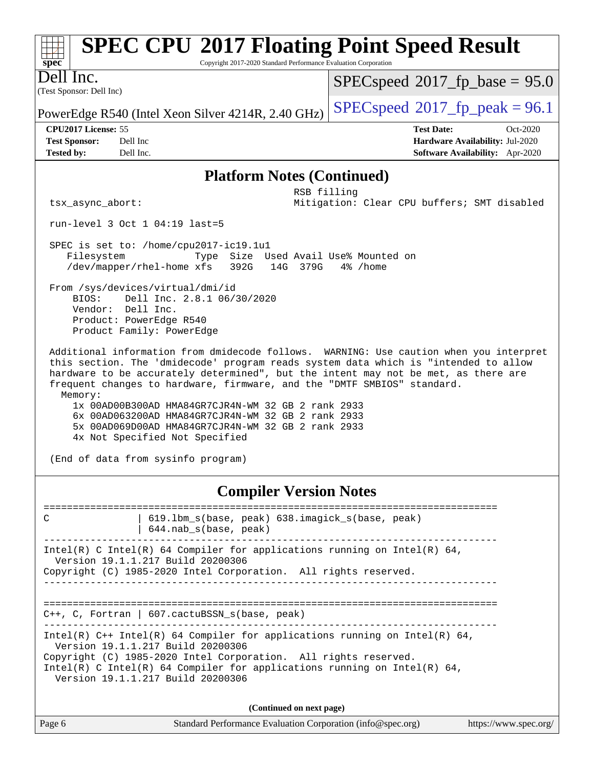| M EC CI O 2017 Floating Foliit Speed Kesuit<br>Copyright 2017-2020 Standard Performance Evaluation Corporation<br>$spec^*$                                                                                                                                                                                                                                                                                                                                                                                                                                    |                                                                                                       |  |  |  |  |  |
|---------------------------------------------------------------------------------------------------------------------------------------------------------------------------------------------------------------------------------------------------------------------------------------------------------------------------------------------------------------------------------------------------------------------------------------------------------------------------------------------------------------------------------------------------------------|-------------------------------------------------------------------------------------------------------|--|--|--|--|--|
| Dell Inc.<br>(Test Sponsor: Dell Inc)                                                                                                                                                                                                                                                                                                                                                                                                                                                                                                                         | $SPEC speed^{\circ}2017\_fp\_base = 95.0$                                                             |  |  |  |  |  |
| PowerEdge R540 (Intel Xeon Silver 4214R, 2.40 GHz)                                                                                                                                                                                                                                                                                                                                                                                                                                                                                                            | $SPEC speed$ <sup>®</sup> $2017$ _fp_peak = 96.1                                                      |  |  |  |  |  |
| CPU2017 License: 55<br><b>Test Sponsor:</b><br>Dell Inc<br><b>Tested by:</b><br>Dell Inc.                                                                                                                                                                                                                                                                                                                                                                                                                                                                     | <b>Test Date:</b><br>$Oct-2020$<br>Hardware Availability: Jul-2020<br>Software Availability: Apr-2020 |  |  |  |  |  |
| <b>Platform Notes (Continued)</b>                                                                                                                                                                                                                                                                                                                                                                                                                                                                                                                             |                                                                                                       |  |  |  |  |  |
| RSB filling<br>Mitigation: Clear CPU buffers; SMT disabled<br>tsx_async_abort:                                                                                                                                                                                                                                                                                                                                                                                                                                                                                |                                                                                                       |  |  |  |  |  |
| run-level $3$ Oct $1$ 04:19 last=5                                                                                                                                                                                                                                                                                                                                                                                                                                                                                                                            |                                                                                                       |  |  |  |  |  |
| SPEC is set to: /home/cpu2017-ic19.1u1<br>Filesystem<br>Type Size Used Avail Use% Mounted on<br>/dev/mapper/rhel-home xfs<br>392G<br>14G 379G<br>4% /home<br>From /sys/devices/virtual/dmi/id<br>Dell Inc. 2.8.1 06/30/2020<br>BIOS:<br>Vendor: Dell Inc.<br>Product: PowerEdge R540<br>Product Family: PowerEdge                                                                                                                                                                                                                                             |                                                                                                       |  |  |  |  |  |
| Additional information from dmidecode follows. WARNING: Use caution when you interpret<br>this section. The 'dmidecode' program reads system data which is "intended to allow<br>hardware to be accurately determined", but the intent may not be met, as there are<br>frequent changes to hardware, firmware, and the "DMTF SMBIOS" standard.<br>Memory:<br>1x 00AD00B300AD HMA84GR7CJR4N-WM 32 GB 2 rank 2933<br>6x 00AD063200AD HMA84GR7CJR4N-WM 32 GB 2 rank 2933<br>5x 00AD069D00AD HMA84GR7CJR4N-WM 32 GB 2 rank 2933<br>4x Not Specified Not Specified |                                                                                                       |  |  |  |  |  |
| (End of data from sysinfo program)                                                                                                                                                                                                                                                                                                                                                                                                                                                                                                                            |                                                                                                       |  |  |  |  |  |
|                                                                                                                                                                                                                                                                                                                                                                                                                                                                                                                                                               |                                                                                                       |  |  |  |  |  |

**FIND CDEC CDI®[2017 Floating Point Speed Result](http://www.spec.org/auto/cpu2017/Docs/result-fields.html#SPECCPU2017FloatingPointSpeedResult)** 

#### **[Compiler Version Notes](http://www.spec.org/auto/cpu2017/Docs/result-fields.html#CompilerVersionNotes)**

============================================================================== C | 619.lbm\_s(base, peak) 638.imagick\_s(base, peak) | 644.nab\_s(base, peak) ------------------------------------------------------------------------------ Intel(R) C Intel(R) 64 Compiler for applications running on Intel(R)  $64$ , Version 19.1.1.217 Build 20200306 Copyright (C) 1985-2020 Intel Corporation. All rights reserved. ------------------------------------------------------------------------------ ============================================================================== C++, C, Fortran | 607.cactuBSSN\_s(base, peak) ------------------------------------------------------------------------------ Intel(R) C++ Intel(R) 64 Compiler for applications running on Intel(R)  $64$ , Version 19.1.1.217 Build 20200306 Copyright (C) 1985-2020 Intel Corporation. All rights reserved. Intel(R) C Intel(R) 64 Compiler for applications running on Intel(R)  $64$ , Version 19.1.1.217 Build 20200306 **(Continued on next page)**

| Page 6 | Standard Performance Evaluation Corporation (info@spec.org) | https://www.spec.org/ |
|--------|-------------------------------------------------------------|-----------------------|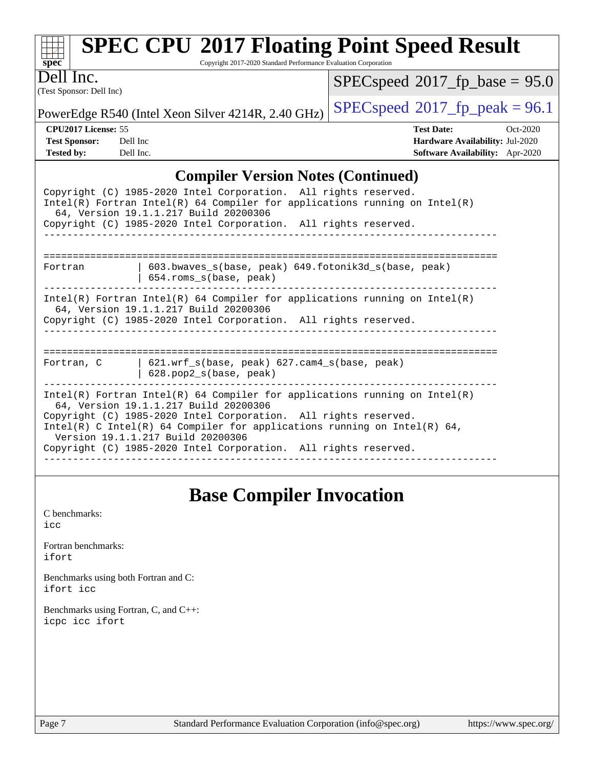| <b>SPEC CPU®2017 Floating Point Speed Result</b><br>Copyright 2017-2020 Standard Performance Evaluation Corporation<br>spec <sup>®</sup>                                                                                                                                                                                                                                     |                                           |
|------------------------------------------------------------------------------------------------------------------------------------------------------------------------------------------------------------------------------------------------------------------------------------------------------------------------------------------------------------------------------|-------------------------------------------|
| Dell Inc.                                                                                                                                                                                                                                                                                                                                                                    | $SPEC speed^{\circ}2017$ fp base = 95.0   |
| (Test Sponsor: Dell Inc)                                                                                                                                                                                                                                                                                                                                                     |                                           |
| PowerEdge R540 (Intel Xeon Silver 4214R, 2.40 GHz)                                                                                                                                                                                                                                                                                                                           | $SPEC speed^{\circ}2017\_fp\_peak = 96.1$ |
| CPU2017 License: 55                                                                                                                                                                                                                                                                                                                                                          | <b>Test Date:</b><br>Oct-2020             |
| Dell Inc<br><b>Test Sponsor:</b>                                                                                                                                                                                                                                                                                                                                             | <b>Hardware Availability: Jul-2020</b>    |
| <b>Tested by:</b><br>Dell Inc.                                                                                                                                                                                                                                                                                                                                               | Software Availability: Apr-2020           |
| <b>Compiler Version Notes (Continued)</b>                                                                                                                                                                                                                                                                                                                                    |                                           |
| Copyright (C) 1985-2020 Intel Corporation. All rights reserved.<br>$Intel(R)$ Fortran Intel(R) 64 Compiler for applications running on Intel(R)<br>64, Version 19.1.1.217 Build 20200306<br>Copyright (C) 1985-2020 Intel Corporation. All rights reserved.                                                                                                                  |                                           |
| 603.bwaves_s(base, peak) 649.fotonik3d_s(base, peak)<br>Fortran<br>654.roms_s(base, peak)                                                                                                                                                                                                                                                                                    |                                           |
| $Intel(R)$ Fortran Intel(R) 64 Compiler for applications running on Intel(R)<br>64, Version 19.1.1.217 Build 20200306                                                                                                                                                                                                                                                        |                                           |
| Copyright (C) 1985-2020 Intel Corporation. All rights reserved.                                                                                                                                                                                                                                                                                                              |                                           |
| 621.wrf_s(base, peak) 627.cam4_s(base, peak)<br>Fortran, C<br>628.pop2_s(base, peak)                                                                                                                                                                                                                                                                                         |                                           |
| $Intel(R)$ Fortran Intel(R) 64 Compiler for applications running on Intel(R)<br>64, Version 19.1.1.217 Build 20200306<br>Copyright (C) 1985-2020 Intel Corporation. All rights reserved.<br>Intel(R) C Intel(R) 64 Compiler for applications running on Intel(R) 64,<br>Version 19.1.1.217 Build 20200306<br>Copyright (C) 1985-2020 Intel Corporation. All rights reserved. |                                           |

### **[Base Compiler Invocation](http://www.spec.org/auto/cpu2017/Docs/result-fields.html#BaseCompilerInvocation)**

[C benchmarks](http://www.spec.org/auto/cpu2017/Docs/result-fields.html#Cbenchmarks): [icc](http://www.spec.org/cpu2017/results/res2020q4/cpu2017-20201020-24222.flags.html#user_CCbase_intel_icc_66fc1ee009f7361af1fbd72ca7dcefbb700085f36577c54f309893dd4ec40d12360134090235512931783d35fd58c0460139e722d5067c5574d8eaf2b3e37e92)

[Fortran benchmarks](http://www.spec.org/auto/cpu2017/Docs/result-fields.html#Fortranbenchmarks): [ifort](http://www.spec.org/cpu2017/results/res2020q4/cpu2017-20201020-24222.flags.html#user_FCbase_intel_ifort_8111460550e3ca792625aed983ce982f94888b8b503583aa7ba2b8303487b4d8a21a13e7191a45c5fd58ff318f48f9492884d4413fa793fd88dd292cad7027ca)

[Benchmarks using both Fortran and C](http://www.spec.org/auto/cpu2017/Docs/result-fields.html#BenchmarksusingbothFortranandC): [ifort](http://www.spec.org/cpu2017/results/res2020q4/cpu2017-20201020-24222.flags.html#user_CC_FCbase_intel_ifort_8111460550e3ca792625aed983ce982f94888b8b503583aa7ba2b8303487b4d8a21a13e7191a45c5fd58ff318f48f9492884d4413fa793fd88dd292cad7027ca) [icc](http://www.spec.org/cpu2017/results/res2020q4/cpu2017-20201020-24222.flags.html#user_CC_FCbase_intel_icc_66fc1ee009f7361af1fbd72ca7dcefbb700085f36577c54f309893dd4ec40d12360134090235512931783d35fd58c0460139e722d5067c5574d8eaf2b3e37e92)

[Benchmarks using Fortran, C, and C++:](http://www.spec.org/auto/cpu2017/Docs/result-fields.html#BenchmarksusingFortranCandCXX) [icpc](http://www.spec.org/cpu2017/results/res2020q4/cpu2017-20201020-24222.flags.html#user_CC_CXX_FCbase_intel_icpc_c510b6838c7f56d33e37e94d029a35b4a7bccf4766a728ee175e80a419847e808290a9b78be685c44ab727ea267ec2f070ec5dc83b407c0218cded6866a35d07) [icc](http://www.spec.org/cpu2017/results/res2020q4/cpu2017-20201020-24222.flags.html#user_CC_CXX_FCbase_intel_icc_66fc1ee009f7361af1fbd72ca7dcefbb700085f36577c54f309893dd4ec40d12360134090235512931783d35fd58c0460139e722d5067c5574d8eaf2b3e37e92) [ifort](http://www.spec.org/cpu2017/results/res2020q4/cpu2017-20201020-24222.flags.html#user_CC_CXX_FCbase_intel_ifort_8111460550e3ca792625aed983ce982f94888b8b503583aa7ba2b8303487b4d8a21a13e7191a45c5fd58ff318f48f9492884d4413fa793fd88dd292cad7027ca)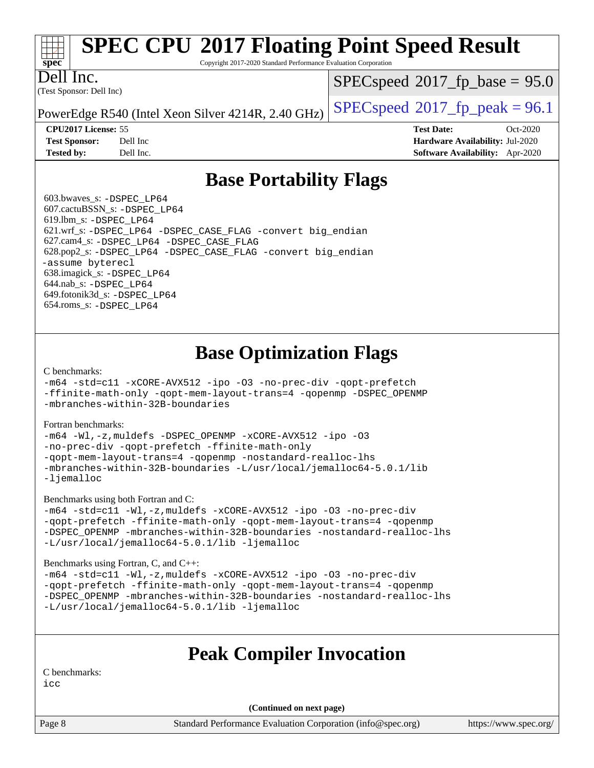# **[spec](http://www.spec.org/)**

# **[SPEC CPU](http://www.spec.org/auto/cpu2017/Docs/result-fields.html#SPECCPU2017FloatingPointSpeedResult)[2017 Floating Point Speed Result](http://www.spec.org/auto/cpu2017/Docs/result-fields.html#SPECCPU2017FloatingPointSpeedResult)**

Copyright 2017-2020 Standard Performance Evaluation Corporation

Dell Inc.

(Test Sponsor: Dell Inc)

 $SPECspeed*2017_fp\_base = 95.0$  $SPECspeed*2017_fp\_base = 95.0$ 

PowerEdge R540 (Intel Xeon Silver 4214R, 2.40 GHz)  $\left|$  [SPECspeed](http://www.spec.org/auto/cpu2017/Docs/result-fields.html#SPECspeed2017fppeak)<sup>®</sup>[2017\\_fp\\_peak = 9](http://www.spec.org/auto/cpu2017/Docs/result-fields.html#SPECspeed2017fppeak)6.1

**[CPU2017 License:](http://www.spec.org/auto/cpu2017/Docs/result-fields.html#CPU2017License)** 55 **[Test Date:](http://www.spec.org/auto/cpu2017/Docs/result-fields.html#TestDate)** Oct-2020 **[Test Sponsor:](http://www.spec.org/auto/cpu2017/Docs/result-fields.html#TestSponsor)** Dell Inc **[Hardware Availability:](http://www.spec.org/auto/cpu2017/Docs/result-fields.html#HardwareAvailability)** Jul-2020 **[Tested by:](http://www.spec.org/auto/cpu2017/Docs/result-fields.html#Testedby)** Dell Inc. **[Software Availability:](http://www.spec.org/auto/cpu2017/Docs/result-fields.html#SoftwareAvailability)** Apr-2020

### **[Base Portability Flags](http://www.spec.org/auto/cpu2017/Docs/result-fields.html#BasePortabilityFlags)**

 603.bwaves\_s: [-DSPEC\\_LP64](http://www.spec.org/cpu2017/results/res2020q4/cpu2017-20201020-24222.flags.html#suite_basePORTABILITY603_bwaves_s_DSPEC_LP64) 607.cactuBSSN\_s: [-DSPEC\\_LP64](http://www.spec.org/cpu2017/results/res2020q4/cpu2017-20201020-24222.flags.html#suite_basePORTABILITY607_cactuBSSN_s_DSPEC_LP64) 619.lbm\_s: [-DSPEC\\_LP64](http://www.spec.org/cpu2017/results/res2020q4/cpu2017-20201020-24222.flags.html#suite_basePORTABILITY619_lbm_s_DSPEC_LP64) 621.wrf\_s: [-DSPEC\\_LP64](http://www.spec.org/cpu2017/results/res2020q4/cpu2017-20201020-24222.flags.html#suite_basePORTABILITY621_wrf_s_DSPEC_LP64) [-DSPEC\\_CASE\\_FLAG](http://www.spec.org/cpu2017/results/res2020q4/cpu2017-20201020-24222.flags.html#b621.wrf_s_baseCPORTABILITY_DSPEC_CASE_FLAG) [-convert big\\_endian](http://www.spec.org/cpu2017/results/res2020q4/cpu2017-20201020-24222.flags.html#user_baseFPORTABILITY621_wrf_s_convert_big_endian_c3194028bc08c63ac5d04de18c48ce6d347e4e562e8892b8bdbdc0214820426deb8554edfa529a3fb25a586e65a3d812c835984020483e7e73212c4d31a38223) 627.cam4\_s: [-DSPEC\\_LP64](http://www.spec.org/cpu2017/results/res2020q4/cpu2017-20201020-24222.flags.html#suite_basePORTABILITY627_cam4_s_DSPEC_LP64) [-DSPEC\\_CASE\\_FLAG](http://www.spec.org/cpu2017/results/res2020q4/cpu2017-20201020-24222.flags.html#b627.cam4_s_baseCPORTABILITY_DSPEC_CASE_FLAG) 628.pop2\_s: [-DSPEC\\_LP64](http://www.spec.org/cpu2017/results/res2020q4/cpu2017-20201020-24222.flags.html#suite_basePORTABILITY628_pop2_s_DSPEC_LP64) [-DSPEC\\_CASE\\_FLAG](http://www.spec.org/cpu2017/results/res2020q4/cpu2017-20201020-24222.flags.html#b628.pop2_s_baseCPORTABILITY_DSPEC_CASE_FLAG) [-convert big\\_endian](http://www.spec.org/cpu2017/results/res2020q4/cpu2017-20201020-24222.flags.html#user_baseFPORTABILITY628_pop2_s_convert_big_endian_c3194028bc08c63ac5d04de18c48ce6d347e4e562e8892b8bdbdc0214820426deb8554edfa529a3fb25a586e65a3d812c835984020483e7e73212c4d31a38223) [-assume byterecl](http://www.spec.org/cpu2017/results/res2020q4/cpu2017-20201020-24222.flags.html#user_baseFPORTABILITY628_pop2_s_assume_byterecl_7e47d18b9513cf18525430bbf0f2177aa9bf368bc7a059c09b2c06a34b53bd3447c950d3f8d6c70e3faf3a05c8557d66a5798b567902e8849adc142926523472) 638.imagick\_s: [-DSPEC\\_LP64](http://www.spec.org/cpu2017/results/res2020q4/cpu2017-20201020-24222.flags.html#suite_basePORTABILITY638_imagick_s_DSPEC_LP64) 644.nab\_s: [-DSPEC\\_LP64](http://www.spec.org/cpu2017/results/res2020q4/cpu2017-20201020-24222.flags.html#suite_basePORTABILITY644_nab_s_DSPEC_LP64) 649.fotonik3d\_s: [-DSPEC\\_LP64](http://www.spec.org/cpu2017/results/res2020q4/cpu2017-20201020-24222.flags.html#suite_basePORTABILITY649_fotonik3d_s_DSPEC_LP64) 654.roms\_s: [-DSPEC\\_LP64](http://www.spec.org/cpu2017/results/res2020q4/cpu2017-20201020-24222.flags.html#suite_basePORTABILITY654_roms_s_DSPEC_LP64)

### **[Base Optimization Flags](http://www.spec.org/auto/cpu2017/Docs/result-fields.html#BaseOptimizationFlags)**

[C benchmarks](http://www.spec.org/auto/cpu2017/Docs/result-fields.html#Cbenchmarks):

[-m64](http://www.spec.org/cpu2017/results/res2020q4/cpu2017-20201020-24222.flags.html#user_CCbase_m64-icc) [-std=c11](http://www.spec.org/cpu2017/results/res2020q4/cpu2017-20201020-24222.flags.html#user_CCbase_std-icc-std_0e1c27790398a4642dfca32ffe6c27b5796f9c2d2676156f2e42c9c44eaad0c049b1cdb667a270c34d979996257aeb8fc440bfb01818dbc9357bd9d174cb8524) [-xCORE-AVX512](http://www.spec.org/cpu2017/results/res2020q4/cpu2017-20201020-24222.flags.html#user_CCbase_f-xCORE-AVX512) [-ipo](http://www.spec.org/cpu2017/results/res2020q4/cpu2017-20201020-24222.flags.html#user_CCbase_f-ipo) [-O3](http://www.spec.org/cpu2017/results/res2020q4/cpu2017-20201020-24222.flags.html#user_CCbase_f-O3) [-no-prec-div](http://www.spec.org/cpu2017/results/res2020q4/cpu2017-20201020-24222.flags.html#user_CCbase_f-no-prec-div) [-qopt-prefetch](http://www.spec.org/cpu2017/results/res2020q4/cpu2017-20201020-24222.flags.html#user_CCbase_f-qopt-prefetch) [-ffinite-math-only](http://www.spec.org/cpu2017/results/res2020q4/cpu2017-20201020-24222.flags.html#user_CCbase_f_finite_math_only_cb91587bd2077682c4b38af759c288ed7c732db004271a9512da14a4f8007909a5f1427ecbf1a0fb78ff2a814402c6114ac565ca162485bbcae155b5e4258871) [-qopt-mem-layout-trans=4](http://www.spec.org/cpu2017/results/res2020q4/cpu2017-20201020-24222.flags.html#user_CCbase_f-qopt-mem-layout-trans_fa39e755916c150a61361b7846f310bcdf6f04e385ef281cadf3647acec3f0ae266d1a1d22d972a7087a248fd4e6ca390a3634700869573d231a252c784941a8) [-qopenmp](http://www.spec.org/cpu2017/results/res2020q4/cpu2017-20201020-24222.flags.html#user_CCbase_qopenmp_16be0c44f24f464004c6784a7acb94aca937f053568ce72f94b139a11c7c168634a55f6653758ddd83bcf7b8463e8028bb0b48b77bcddc6b78d5d95bb1df2967) [-DSPEC\\_OPENMP](http://www.spec.org/cpu2017/results/res2020q4/cpu2017-20201020-24222.flags.html#suite_CCbase_DSPEC_OPENMP) [-mbranches-within-32B-boundaries](http://www.spec.org/cpu2017/results/res2020q4/cpu2017-20201020-24222.flags.html#user_CCbase_f-mbranches-within-32B-boundaries)

[Fortran benchmarks](http://www.spec.org/auto/cpu2017/Docs/result-fields.html#Fortranbenchmarks):

[-m64](http://www.spec.org/cpu2017/results/res2020q4/cpu2017-20201020-24222.flags.html#user_FCbase_m64-icc) [-Wl,-z,muldefs](http://www.spec.org/cpu2017/results/res2020q4/cpu2017-20201020-24222.flags.html#user_FCbase_link_force_multiple1_b4cbdb97b34bdee9ceefcfe54f4c8ea74255f0b02a4b23e853cdb0e18eb4525ac79b5a88067c842dd0ee6996c24547a27a4b99331201badda8798ef8a743f577) [-DSPEC\\_OPENMP](http://www.spec.org/cpu2017/results/res2020q4/cpu2017-20201020-24222.flags.html#suite_FCbase_DSPEC_OPENMP) [-xCORE-AVX512](http://www.spec.org/cpu2017/results/res2020q4/cpu2017-20201020-24222.flags.html#user_FCbase_f-xCORE-AVX512) [-ipo](http://www.spec.org/cpu2017/results/res2020q4/cpu2017-20201020-24222.flags.html#user_FCbase_f-ipo) [-O3](http://www.spec.org/cpu2017/results/res2020q4/cpu2017-20201020-24222.flags.html#user_FCbase_f-O3) [-no-prec-div](http://www.spec.org/cpu2017/results/res2020q4/cpu2017-20201020-24222.flags.html#user_FCbase_f-no-prec-div) [-qopt-prefetch](http://www.spec.org/cpu2017/results/res2020q4/cpu2017-20201020-24222.flags.html#user_FCbase_f-qopt-prefetch) [-ffinite-math-only](http://www.spec.org/cpu2017/results/res2020q4/cpu2017-20201020-24222.flags.html#user_FCbase_f_finite_math_only_cb91587bd2077682c4b38af759c288ed7c732db004271a9512da14a4f8007909a5f1427ecbf1a0fb78ff2a814402c6114ac565ca162485bbcae155b5e4258871) [-qopt-mem-layout-trans=4](http://www.spec.org/cpu2017/results/res2020q4/cpu2017-20201020-24222.flags.html#user_FCbase_f-qopt-mem-layout-trans_fa39e755916c150a61361b7846f310bcdf6f04e385ef281cadf3647acec3f0ae266d1a1d22d972a7087a248fd4e6ca390a3634700869573d231a252c784941a8) [-qopenmp](http://www.spec.org/cpu2017/results/res2020q4/cpu2017-20201020-24222.flags.html#user_FCbase_qopenmp_16be0c44f24f464004c6784a7acb94aca937f053568ce72f94b139a11c7c168634a55f6653758ddd83bcf7b8463e8028bb0b48b77bcddc6b78d5d95bb1df2967) [-nostandard-realloc-lhs](http://www.spec.org/cpu2017/results/res2020q4/cpu2017-20201020-24222.flags.html#user_FCbase_f_2003_std_realloc_82b4557e90729c0f113870c07e44d33d6f5a304b4f63d4c15d2d0f1fab99f5daaed73bdb9275d9ae411527f28b936061aa8b9c8f2d63842963b95c9dd6426b8a) [-mbranches-within-32B-boundaries](http://www.spec.org/cpu2017/results/res2020q4/cpu2017-20201020-24222.flags.html#user_FCbase_f-mbranches-within-32B-boundaries) [-L/usr/local/jemalloc64-5.0.1/lib](http://www.spec.org/cpu2017/results/res2020q4/cpu2017-20201020-24222.flags.html#user_FCbase_jemalloc_link_path64_1_cc289568b1a6c0fd3b62c91b824c27fcb5af5e8098e6ad028160d21144ef1b8aef3170d2acf0bee98a8da324cfe4f67d0a3d0c4cc4673d993d694dc2a0df248b) [-ljemalloc](http://www.spec.org/cpu2017/results/res2020q4/cpu2017-20201020-24222.flags.html#user_FCbase_jemalloc_link_lib_d1249b907c500fa1c0672f44f562e3d0f79738ae9e3c4a9c376d49f265a04b9c99b167ecedbf6711b3085be911c67ff61f150a17b3472be731631ba4d0471706)

[Benchmarks using both Fortran and C](http://www.spec.org/auto/cpu2017/Docs/result-fields.html#BenchmarksusingbothFortranandC):

[-m64](http://www.spec.org/cpu2017/results/res2020q4/cpu2017-20201020-24222.flags.html#user_CC_FCbase_m64-icc) [-std=c11](http://www.spec.org/cpu2017/results/res2020q4/cpu2017-20201020-24222.flags.html#user_CC_FCbase_std-icc-std_0e1c27790398a4642dfca32ffe6c27b5796f9c2d2676156f2e42c9c44eaad0c049b1cdb667a270c34d979996257aeb8fc440bfb01818dbc9357bd9d174cb8524) [-Wl,-z,muldefs](http://www.spec.org/cpu2017/results/res2020q4/cpu2017-20201020-24222.flags.html#user_CC_FCbase_link_force_multiple1_b4cbdb97b34bdee9ceefcfe54f4c8ea74255f0b02a4b23e853cdb0e18eb4525ac79b5a88067c842dd0ee6996c24547a27a4b99331201badda8798ef8a743f577) [-xCORE-AVX512](http://www.spec.org/cpu2017/results/res2020q4/cpu2017-20201020-24222.flags.html#user_CC_FCbase_f-xCORE-AVX512) [-ipo](http://www.spec.org/cpu2017/results/res2020q4/cpu2017-20201020-24222.flags.html#user_CC_FCbase_f-ipo) [-O3](http://www.spec.org/cpu2017/results/res2020q4/cpu2017-20201020-24222.flags.html#user_CC_FCbase_f-O3) [-no-prec-div](http://www.spec.org/cpu2017/results/res2020q4/cpu2017-20201020-24222.flags.html#user_CC_FCbase_f-no-prec-div) [-qopt-prefetch](http://www.spec.org/cpu2017/results/res2020q4/cpu2017-20201020-24222.flags.html#user_CC_FCbase_f-qopt-prefetch) [-ffinite-math-only](http://www.spec.org/cpu2017/results/res2020q4/cpu2017-20201020-24222.flags.html#user_CC_FCbase_f_finite_math_only_cb91587bd2077682c4b38af759c288ed7c732db004271a9512da14a4f8007909a5f1427ecbf1a0fb78ff2a814402c6114ac565ca162485bbcae155b5e4258871) [-qopt-mem-layout-trans=4](http://www.spec.org/cpu2017/results/res2020q4/cpu2017-20201020-24222.flags.html#user_CC_FCbase_f-qopt-mem-layout-trans_fa39e755916c150a61361b7846f310bcdf6f04e385ef281cadf3647acec3f0ae266d1a1d22d972a7087a248fd4e6ca390a3634700869573d231a252c784941a8) [-qopenmp](http://www.spec.org/cpu2017/results/res2020q4/cpu2017-20201020-24222.flags.html#user_CC_FCbase_qopenmp_16be0c44f24f464004c6784a7acb94aca937f053568ce72f94b139a11c7c168634a55f6653758ddd83bcf7b8463e8028bb0b48b77bcddc6b78d5d95bb1df2967) [-DSPEC\\_OPENMP](http://www.spec.org/cpu2017/results/res2020q4/cpu2017-20201020-24222.flags.html#suite_CC_FCbase_DSPEC_OPENMP) [-mbranches-within-32B-boundaries](http://www.spec.org/cpu2017/results/res2020q4/cpu2017-20201020-24222.flags.html#user_CC_FCbase_f-mbranches-within-32B-boundaries) [-nostandard-realloc-lhs](http://www.spec.org/cpu2017/results/res2020q4/cpu2017-20201020-24222.flags.html#user_CC_FCbase_f_2003_std_realloc_82b4557e90729c0f113870c07e44d33d6f5a304b4f63d4c15d2d0f1fab99f5daaed73bdb9275d9ae411527f28b936061aa8b9c8f2d63842963b95c9dd6426b8a) [-L/usr/local/jemalloc64-5.0.1/lib](http://www.spec.org/cpu2017/results/res2020q4/cpu2017-20201020-24222.flags.html#user_CC_FCbase_jemalloc_link_path64_1_cc289568b1a6c0fd3b62c91b824c27fcb5af5e8098e6ad028160d21144ef1b8aef3170d2acf0bee98a8da324cfe4f67d0a3d0c4cc4673d993d694dc2a0df248b) [-ljemalloc](http://www.spec.org/cpu2017/results/res2020q4/cpu2017-20201020-24222.flags.html#user_CC_FCbase_jemalloc_link_lib_d1249b907c500fa1c0672f44f562e3d0f79738ae9e3c4a9c376d49f265a04b9c99b167ecedbf6711b3085be911c67ff61f150a17b3472be731631ba4d0471706)

[Benchmarks using Fortran, C, and C++:](http://www.spec.org/auto/cpu2017/Docs/result-fields.html#BenchmarksusingFortranCandCXX)

[-m64](http://www.spec.org/cpu2017/results/res2020q4/cpu2017-20201020-24222.flags.html#user_CC_CXX_FCbase_m64-icc) [-std=c11](http://www.spec.org/cpu2017/results/res2020q4/cpu2017-20201020-24222.flags.html#user_CC_CXX_FCbase_std-icc-std_0e1c27790398a4642dfca32ffe6c27b5796f9c2d2676156f2e42c9c44eaad0c049b1cdb667a270c34d979996257aeb8fc440bfb01818dbc9357bd9d174cb8524) [-Wl,-z,muldefs](http://www.spec.org/cpu2017/results/res2020q4/cpu2017-20201020-24222.flags.html#user_CC_CXX_FCbase_link_force_multiple1_b4cbdb97b34bdee9ceefcfe54f4c8ea74255f0b02a4b23e853cdb0e18eb4525ac79b5a88067c842dd0ee6996c24547a27a4b99331201badda8798ef8a743f577) [-xCORE-AVX512](http://www.spec.org/cpu2017/results/res2020q4/cpu2017-20201020-24222.flags.html#user_CC_CXX_FCbase_f-xCORE-AVX512) [-ipo](http://www.spec.org/cpu2017/results/res2020q4/cpu2017-20201020-24222.flags.html#user_CC_CXX_FCbase_f-ipo) [-O3](http://www.spec.org/cpu2017/results/res2020q4/cpu2017-20201020-24222.flags.html#user_CC_CXX_FCbase_f-O3) [-no-prec-div](http://www.spec.org/cpu2017/results/res2020q4/cpu2017-20201020-24222.flags.html#user_CC_CXX_FCbase_f-no-prec-div) [-qopt-prefetch](http://www.spec.org/cpu2017/results/res2020q4/cpu2017-20201020-24222.flags.html#user_CC_CXX_FCbase_f-qopt-prefetch) [-ffinite-math-only](http://www.spec.org/cpu2017/results/res2020q4/cpu2017-20201020-24222.flags.html#user_CC_CXX_FCbase_f_finite_math_only_cb91587bd2077682c4b38af759c288ed7c732db004271a9512da14a4f8007909a5f1427ecbf1a0fb78ff2a814402c6114ac565ca162485bbcae155b5e4258871) [-qopt-mem-layout-trans=4](http://www.spec.org/cpu2017/results/res2020q4/cpu2017-20201020-24222.flags.html#user_CC_CXX_FCbase_f-qopt-mem-layout-trans_fa39e755916c150a61361b7846f310bcdf6f04e385ef281cadf3647acec3f0ae266d1a1d22d972a7087a248fd4e6ca390a3634700869573d231a252c784941a8) [-qopenmp](http://www.spec.org/cpu2017/results/res2020q4/cpu2017-20201020-24222.flags.html#user_CC_CXX_FCbase_qopenmp_16be0c44f24f464004c6784a7acb94aca937f053568ce72f94b139a11c7c168634a55f6653758ddd83bcf7b8463e8028bb0b48b77bcddc6b78d5d95bb1df2967) [-DSPEC\\_OPENMP](http://www.spec.org/cpu2017/results/res2020q4/cpu2017-20201020-24222.flags.html#suite_CC_CXX_FCbase_DSPEC_OPENMP) [-mbranches-within-32B-boundaries](http://www.spec.org/cpu2017/results/res2020q4/cpu2017-20201020-24222.flags.html#user_CC_CXX_FCbase_f-mbranches-within-32B-boundaries) [-nostandard-realloc-lhs](http://www.spec.org/cpu2017/results/res2020q4/cpu2017-20201020-24222.flags.html#user_CC_CXX_FCbase_f_2003_std_realloc_82b4557e90729c0f113870c07e44d33d6f5a304b4f63d4c15d2d0f1fab99f5daaed73bdb9275d9ae411527f28b936061aa8b9c8f2d63842963b95c9dd6426b8a) [-L/usr/local/jemalloc64-5.0.1/lib](http://www.spec.org/cpu2017/results/res2020q4/cpu2017-20201020-24222.flags.html#user_CC_CXX_FCbase_jemalloc_link_path64_1_cc289568b1a6c0fd3b62c91b824c27fcb5af5e8098e6ad028160d21144ef1b8aef3170d2acf0bee98a8da324cfe4f67d0a3d0c4cc4673d993d694dc2a0df248b) [-ljemalloc](http://www.spec.org/cpu2017/results/res2020q4/cpu2017-20201020-24222.flags.html#user_CC_CXX_FCbase_jemalloc_link_lib_d1249b907c500fa1c0672f44f562e3d0f79738ae9e3c4a9c376d49f265a04b9c99b167ecedbf6711b3085be911c67ff61f150a17b3472be731631ba4d0471706)

### **[Peak Compiler Invocation](http://www.spec.org/auto/cpu2017/Docs/result-fields.html#PeakCompilerInvocation)**

[C benchmarks:](http://www.spec.org/auto/cpu2017/Docs/result-fields.html#Cbenchmarks)

[icc](http://www.spec.org/cpu2017/results/res2020q4/cpu2017-20201020-24222.flags.html#user_CCpeak_intel_icc_66fc1ee009f7361af1fbd72ca7dcefbb700085f36577c54f309893dd4ec40d12360134090235512931783d35fd58c0460139e722d5067c5574d8eaf2b3e37e92)

**(Continued on next page)**

Page 8 Standard Performance Evaluation Corporation [\(info@spec.org\)](mailto:info@spec.org) <https://www.spec.org/>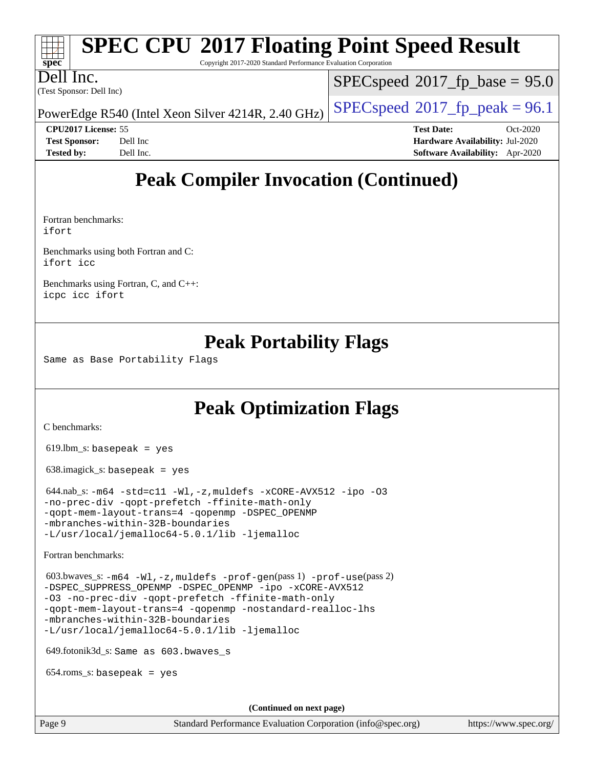#### **[spec](http://www.spec.org/) [SPEC CPU](http://www.spec.org/auto/cpu2017/Docs/result-fields.html#SPECCPU2017FloatingPointSpeedResult)[2017 Floating Point Speed Result](http://www.spec.org/auto/cpu2017/Docs/result-fields.html#SPECCPU2017FloatingPointSpeedResult)** Copyright 2017-2020 Standard Performance Evaluation Corporation

(Test Sponsor: Dell Inc) Dell Inc.

 $SPECspeed*2017_fp\_base = 95.0$  $SPECspeed*2017_fp\_base = 95.0$ 

PowerEdge R540 (Intel Xeon Silver 4214R, 2.40 GHz)  $\left|$  [SPECspeed](http://www.spec.org/auto/cpu2017/Docs/result-fields.html#SPECspeed2017fppeak)<sup>®</sup>[2017\\_fp\\_peak = 9](http://www.spec.org/auto/cpu2017/Docs/result-fields.html#SPECspeed2017fppeak)6.1

**[CPU2017 License:](http://www.spec.org/auto/cpu2017/Docs/result-fields.html#CPU2017License)** 55 **[Test Date:](http://www.spec.org/auto/cpu2017/Docs/result-fields.html#TestDate)** Oct-2020 **[Test Sponsor:](http://www.spec.org/auto/cpu2017/Docs/result-fields.html#TestSponsor)** Dell Inc **[Hardware Availability:](http://www.spec.org/auto/cpu2017/Docs/result-fields.html#HardwareAvailability)** Jul-2020 **[Tested by:](http://www.spec.org/auto/cpu2017/Docs/result-fields.html#Testedby)** Dell Inc. **[Software Availability:](http://www.spec.org/auto/cpu2017/Docs/result-fields.html#SoftwareAvailability)** Apr-2020

### **[Peak Compiler Invocation \(Continued\)](http://www.spec.org/auto/cpu2017/Docs/result-fields.html#PeakCompilerInvocation)**

[Fortran benchmarks:](http://www.spec.org/auto/cpu2017/Docs/result-fields.html#Fortranbenchmarks) [ifort](http://www.spec.org/cpu2017/results/res2020q4/cpu2017-20201020-24222.flags.html#user_FCpeak_intel_ifort_8111460550e3ca792625aed983ce982f94888b8b503583aa7ba2b8303487b4d8a21a13e7191a45c5fd58ff318f48f9492884d4413fa793fd88dd292cad7027ca)

[Benchmarks using both Fortran and C:](http://www.spec.org/auto/cpu2017/Docs/result-fields.html#BenchmarksusingbothFortranandC) [ifort](http://www.spec.org/cpu2017/results/res2020q4/cpu2017-20201020-24222.flags.html#user_CC_FCpeak_intel_ifort_8111460550e3ca792625aed983ce982f94888b8b503583aa7ba2b8303487b4d8a21a13e7191a45c5fd58ff318f48f9492884d4413fa793fd88dd292cad7027ca) [icc](http://www.spec.org/cpu2017/results/res2020q4/cpu2017-20201020-24222.flags.html#user_CC_FCpeak_intel_icc_66fc1ee009f7361af1fbd72ca7dcefbb700085f36577c54f309893dd4ec40d12360134090235512931783d35fd58c0460139e722d5067c5574d8eaf2b3e37e92)

[Benchmarks using Fortran, C, and C++](http://www.spec.org/auto/cpu2017/Docs/result-fields.html#BenchmarksusingFortranCandCXX): [icpc](http://www.spec.org/cpu2017/results/res2020q4/cpu2017-20201020-24222.flags.html#user_CC_CXX_FCpeak_intel_icpc_c510b6838c7f56d33e37e94d029a35b4a7bccf4766a728ee175e80a419847e808290a9b78be685c44ab727ea267ec2f070ec5dc83b407c0218cded6866a35d07) [icc](http://www.spec.org/cpu2017/results/res2020q4/cpu2017-20201020-24222.flags.html#user_CC_CXX_FCpeak_intel_icc_66fc1ee009f7361af1fbd72ca7dcefbb700085f36577c54f309893dd4ec40d12360134090235512931783d35fd58c0460139e722d5067c5574d8eaf2b3e37e92) [ifort](http://www.spec.org/cpu2017/results/res2020q4/cpu2017-20201020-24222.flags.html#user_CC_CXX_FCpeak_intel_ifort_8111460550e3ca792625aed983ce982f94888b8b503583aa7ba2b8303487b4d8a21a13e7191a45c5fd58ff318f48f9492884d4413fa793fd88dd292cad7027ca)

### **[Peak Portability Flags](http://www.spec.org/auto/cpu2017/Docs/result-fields.html#PeakPortabilityFlags)**

Same as Base Portability Flags

### **[Peak Optimization Flags](http://www.spec.org/auto/cpu2017/Docs/result-fields.html#PeakOptimizationFlags)**

[C benchmarks](http://www.spec.org/auto/cpu2017/Docs/result-fields.html#Cbenchmarks):

619.lbm\_s: basepeak = yes

638.imagick\_s: basepeak = yes

 $644.nab$ \_s:  $-m64$   $-std= c11$   $-Wl$ ,  $-z$ , muldefs  $-xCORE-AVX512$   $-ipo$   $-03$ [-no-prec-div](http://www.spec.org/cpu2017/results/res2020q4/cpu2017-20201020-24222.flags.html#user_peakCOPTIMIZE644_nab_s_f-no-prec-div) [-qopt-prefetch](http://www.spec.org/cpu2017/results/res2020q4/cpu2017-20201020-24222.flags.html#user_peakCOPTIMIZE644_nab_s_f-qopt-prefetch) [-ffinite-math-only](http://www.spec.org/cpu2017/results/res2020q4/cpu2017-20201020-24222.flags.html#user_peakCOPTIMIZE644_nab_s_f_finite_math_only_cb91587bd2077682c4b38af759c288ed7c732db004271a9512da14a4f8007909a5f1427ecbf1a0fb78ff2a814402c6114ac565ca162485bbcae155b5e4258871) [-qopt-mem-layout-trans=4](http://www.spec.org/cpu2017/results/res2020q4/cpu2017-20201020-24222.flags.html#user_peakCOPTIMIZE644_nab_s_f-qopt-mem-layout-trans_fa39e755916c150a61361b7846f310bcdf6f04e385ef281cadf3647acec3f0ae266d1a1d22d972a7087a248fd4e6ca390a3634700869573d231a252c784941a8) [-qopenmp](http://www.spec.org/cpu2017/results/res2020q4/cpu2017-20201020-24222.flags.html#user_peakCOPTIMIZE644_nab_s_qopenmp_16be0c44f24f464004c6784a7acb94aca937f053568ce72f94b139a11c7c168634a55f6653758ddd83bcf7b8463e8028bb0b48b77bcddc6b78d5d95bb1df2967) [-DSPEC\\_OPENMP](http://www.spec.org/cpu2017/results/res2020q4/cpu2017-20201020-24222.flags.html#suite_peakCOPTIMIZE644_nab_s_DSPEC_OPENMP) [-mbranches-within-32B-boundaries](http://www.spec.org/cpu2017/results/res2020q4/cpu2017-20201020-24222.flags.html#user_peakEXTRA_COPTIMIZE644_nab_s_f-mbranches-within-32B-boundaries) [-L/usr/local/jemalloc64-5.0.1/lib](http://www.spec.org/cpu2017/results/res2020q4/cpu2017-20201020-24222.flags.html#user_peakEXTRA_LIBS644_nab_s_jemalloc_link_path64_1_cc289568b1a6c0fd3b62c91b824c27fcb5af5e8098e6ad028160d21144ef1b8aef3170d2acf0bee98a8da324cfe4f67d0a3d0c4cc4673d993d694dc2a0df248b) [-ljemalloc](http://www.spec.org/cpu2017/results/res2020q4/cpu2017-20201020-24222.flags.html#user_peakEXTRA_LIBS644_nab_s_jemalloc_link_lib_d1249b907c500fa1c0672f44f562e3d0f79738ae9e3c4a9c376d49f265a04b9c99b167ecedbf6711b3085be911c67ff61f150a17b3472be731631ba4d0471706)

[Fortran benchmarks](http://www.spec.org/auto/cpu2017/Docs/result-fields.html#Fortranbenchmarks):

 603.bwaves\_s: [-m64](http://www.spec.org/cpu2017/results/res2020q4/cpu2017-20201020-24222.flags.html#user_peakFCLD603_bwaves_s_m64-icc) [-Wl,-z,muldefs](http://www.spec.org/cpu2017/results/res2020q4/cpu2017-20201020-24222.flags.html#user_peakEXTRA_LDFLAGS603_bwaves_s_link_force_multiple1_b4cbdb97b34bdee9ceefcfe54f4c8ea74255f0b02a4b23e853cdb0e18eb4525ac79b5a88067c842dd0ee6996c24547a27a4b99331201badda8798ef8a743f577) [-prof-gen](http://www.spec.org/cpu2017/results/res2020q4/cpu2017-20201020-24222.flags.html#user_peakPASS1_FFLAGSPASS1_LDFLAGS603_bwaves_s_prof_gen_5aa4926d6013ddb2a31985c654b3eb18169fc0c6952a63635c234f711e6e63dd76e94ad52365559451ec499a2cdb89e4dc58ba4c67ef54ca681ffbe1461d6b36)(pass 1) [-prof-use](http://www.spec.org/cpu2017/results/res2020q4/cpu2017-20201020-24222.flags.html#user_peakPASS2_FFLAGSPASS2_LDFLAGS603_bwaves_s_prof_use_1a21ceae95f36a2b53c25747139a6c16ca95bd9def2a207b4f0849963b97e94f5260e30a0c64f4bb623698870e679ca08317ef8150905d41bd88c6f78df73f19)(pass 2) [-DSPEC\\_SUPPRESS\\_OPENMP](http://www.spec.org/cpu2017/results/res2020q4/cpu2017-20201020-24222.flags.html#suite_peakPASS1_FOPTIMIZE603_bwaves_s_DSPEC_SUPPRESS_OPENMP) [-DSPEC\\_OPENMP](http://www.spec.org/cpu2017/results/res2020q4/cpu2017-20201020-24222.flags.html#suite_peakPASS2_FOPTIMIZE603_bwaves_s_DSPEC_OPENMP) [-ipo](http://www.spec.org/cpu2017/results/res2020q4/cpu2017-20201020-24222.flags.html#user_peakPASS1_FOPTIMIZEPASS2_FOPTIMIZE603_bwaves_s_f-ipo) [-xCORE-AVX512](http://www.spec.org/cpu2017/results/res2020q4/cpu2017-20201020-24222.flags.html#user_peakPASS2_FOPTIMIZE603_bwaves_s_f-xCORE-AVX512) [-O3](http://www.spec.org/cpu2017/results/res2020q4/cpu2017-20201020-24222.flags.html#user_peakPASS1_FOPTIMIZEPASS2_FOPTIMIZE603_bwaves_s_f-O3) [-no-prec-div](http://www.spec.org/cpu2017/results/res2020q4/cpu2017-20201020-24222.flags.html#user_peakPASS1_FOPTIMIZEPASS2_FOPTIMIZE603_bwaves_s_f-no-prec-div) [-qopt-prefetch](http://www.spec.org/cpu2017/results/res2020q4/cpu2017-20201020-24222.flags.html#user_peakPASS1_FOPTIMIZEPASS2_FOPTIMIZE603_bwaves_s_f-qopt-prefetch) [-ffinite-math-only](http://www.spec.org/cpu2017/results/res2020q4/cpu2017-20201020-24222.flags.html#user_peakPASS1_FOPTIMIZEPASS2_FOPTIMIZE603_bwaves_s_f_finite_math_only_cb91587bd2077682c4b38af759c288ed7c732db004271a9512da14a4f8007909a5f1427ecbf1a0fb78ff2a814402c6114ac565ca162485bbcae155b5e4258871) [-qopt-mem-layout-trans=4](http://www.spec.org/cpu2017/results/res2020q4/cpu2017-20201020-24222.flags.html#user_peakPASS1_FOPTIMIZEPASS2_FOPTIMIZE603_bwaves_s_f-qopt-mem-layout-trans_fa39e755916c150a61361b7846f310bcdf6f04e385ef281cadf3647acec3f0ae266d1a1d22d972a7087a248fd4e6ca390a3634700869573d231a252c784941a8) [-qopenmp](http://www.spec.org/cpu2017/results/res2020q4/cpu2017-20201020-24222.flags.html#user_peakPASS2_FOPTIMIZE603_bwaves_s_qopenmp_16be0c44f24f464004c6784a7acb94aca937f053568ce72f94b139a11c7c168634a55f6653758ddd83bcf7b8463e8028bb0b48b77bcddc6b78d5d95bb1df2967) [-nostandard-realloc-lhs](http://www.spec.org/cpu2017/results/res2020q4/cpu2017-20201020-24222.flags.html#user_peakEXTRA_FOPTIMIZE603_bwaves_s_f_2003_std_realloc_82b4557e90729c0f113870c07e44d33d6f5a304b4f63d4c15d2d0f1fab99f5daaed73bdb9275d9ae411527f28b936061aa8b9c8f2d63842963b95c9dd6426b8a) [-mbranches-within-32B-boundaries](http://www.spec.org/cpu2017/results/res2020q4/cpu2017-20201020-24222.flags.html#user_peakEXTRA_FOPTIMIZE603_bwaves_s_f-mbranches-within-32B-boundaries) [-L/usr/local/jemalloc64-5.0.1/lib](http://www.spec.org/cpu2017/results/res2020q4/cpu2017-20201020-24222.flags.html#user_peakEXTRA_LIBS603_bwaves_s_jemalloc_link_path64_1_cc289568b1a6c0fd3b62c91b824c27fcb5af5e8098e6ad028160d21144ef1b8aef3170d2acf0bee98a8da324cfe4f67d0a3d0c4cc4673d993d694dc2a0df248b) [-ljemalloc](http://www.spec.org/cpu2017/results/res2020q4/cpu2017-20201020-24222.flags.html#user_peakEXTRA_LIBS603_bwaves_s_jemalloc_link_lib_d1249b907c500fa1c0672f44f562e3d0f79738ae9e3c4a9c376d49f265a04b9c99b167ecedbf6711b3085be911c67ff61f150a17b3472be731631ba4d0471706)

649.fotonik3d\_s: Same as 603.bwaves\_s

654.roms\_s: basepeak = yes

**(Continued on next page)**